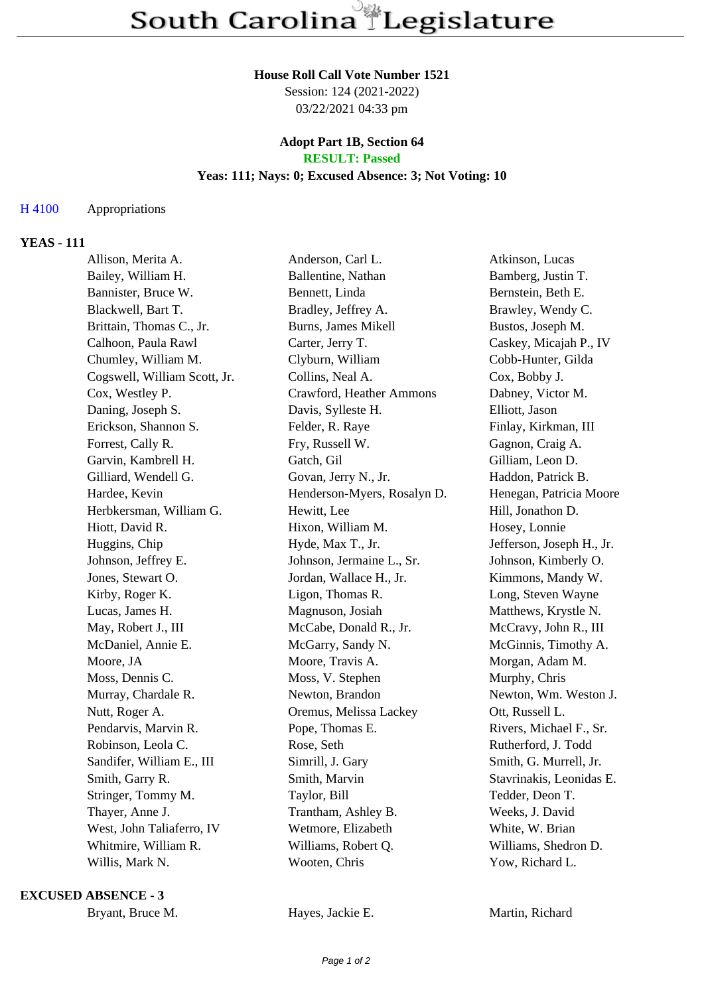#### **House Roll Call Vote Number 1521**

Session: 124 (2021-2022) 03/22/2021 04:33 pm

### **Adopt Part 1B, Section 64 RESULT: Passed**

### **Yeas: 111; Nays: 0; Excused Absence: 3; Not Voting: 10**

# H 4100 Appropriations

# **YEAS - 111**

| Allison, Merita A.           | Anderson, Carl L.           | Atkinson, Lucas           |
|------------------------------|-----------------------------|---------------------------|
| Bailey, William H.           | Ballentine, Nathan          | Bamberg, Justin T.        |
| Bannister, Bruce W.          | Bennett, Linda              | Bernstein, Beth E.        |
| Blackwell, Bart T.           | Bradley, Jeffrey A.         | Brawley, Wendy C.         |
| Brittain, Thomas C., Jr.     | <b>Burns, James Mikell</b>  | Bustos, Joseph M.         |
| Calhoon, Paula Rawl          | Carter, Jerry T.            | Caskey, Micajah P., IV    |
| Chumley, William M.          | Clyburn, William            | Cobb-Hunter, Gilda        |
| Cogswell, William Scott, Jr. | Collins, Neal A.            | Cox, Bobby J.             |
| Cox, Westley P.              | Crawford, Heather Ammons    | Dabney, Victor M.         |
| Daning, Joseph S.            | Davis, Sylleste H.          | Elliott, Jason            |
| Erickson, Shannon S.         | Felder, R. Raye             | Finlay, Kirkman, III      |
| Forrest, Cally R.            | Fry, Russell W.             | Gagnon, Craig A.          |
| Garvin, Kambrell H.          | Gatch, Gil                  | Gilliam, Leon D.          |
| Gilliard, Wendell G.         | Govan, Jerry N., Jr.        | Haddon, Patrick B.        |
| Hardee, Kevin                | Henderson-Myers, Rosalyn D. | Henegan, Patricia Moore   |
| Herbkersman, William G.      | Hewitt, Lee                 | Hill, Jonathon D.         |
| Hiott, David R.              | Hixon, William M.           | Hosey, Lonnie             |
| Huggins, Chip                | Hyde, Max T., Jr.           | Jefferson, Joseph H., Jr. |
| Johnson, Jeffrey E.          | Johnson, Jermaine L., Sr.   | Johnson, Kimberly O.      |
| Jones, Stewart O.            | Jordan, Wallace H., Jr.     | Kimmons, Mandy W.         |
| Kirby, Roger K.              | Ligon, Thomas R.            | Long, Steven Wayne        |
| Lucas, James H.              | Magnuson, Josiah            | Matthews, Krystle N.      |
| May, Robert J., III          | McCabe, Donald R., Jr.      | McCravy, John R., III     |
| McDaniel, Annie E.           | McGarry, Sandy N.           | McGinnis, Timothy A.      |
| Moore, JA                    | Moore, Travis A.            | Morgan, Adam M.           |
| Moss, Dennis C.              | Moss, V. Stephen            | Murphy, Chris             |
| Murray, Chardale R.          | Newton, Brandon             | Newton, Wm. Weston J.     |
| Nutt, Roger A.               | Oremus, Melissa Lackey      | Ott, Russell L.           |
| Pendarvis, Marvin R.         | Pope, Thomas E.             | Rivers, Michael F., Sr.   |
| Robinson, Leola C.           | Rose, Seth                  | Rutherford, J. Todd       |
| Sandifer, William E., III    | Simrill, J. Gary            | Smith, G. Murrell, Jr.    |
| Smith, Garry R.              | Smith, Marvin               | Stavrinakis, Leonidas E.  |
| Stringer, Tommy M.           | Taylor, Bill                | Tedder, Deon T.           |
| Thayer, Anne J.              | Trantham, Ashley B.         | Weeks, J. David           |
| West, John Taliaferro, IV    | Wetmore, Elizabeth          | White, W. Brian           |
| Whitmire, William R.         | Williams, Robert Q.         | Williams, Shedron D.      |
| Willis, Mark N.              | Wooten, Chris               | Yow, Richard L.           |
|                              |                             |                           |

#### **EXCUSED ABSENCE - 3**

|  | Bryant, Bruce M. |
|--|------------------|
|--|------------------|

Hayes, Jackie E. Martin, Richard